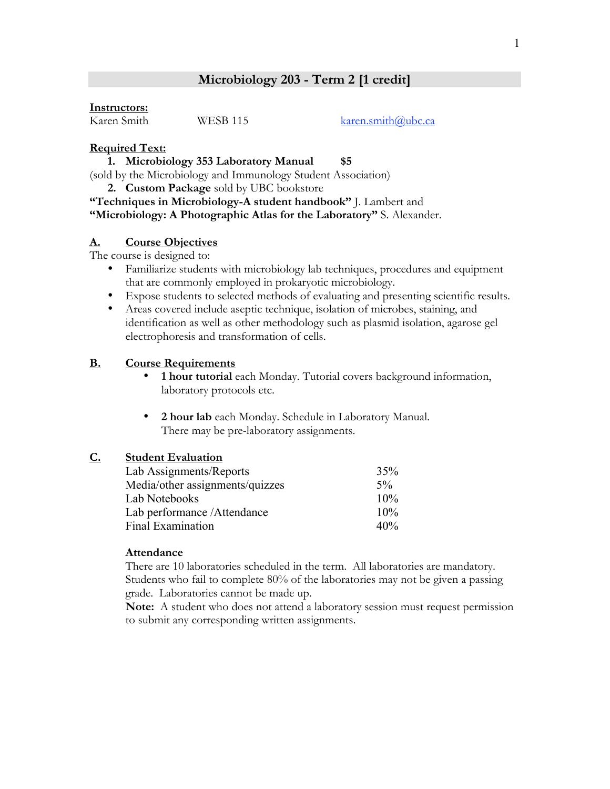# **Microbiology 203 - Term 2 [1 credit]**

#### **Instructors:**

Karen Smith WESB 115 karen.smith@ubc.ca

## **Required Text:**

## **1. Microbiology 353 Laboratory Manual \$5**

(sold by the Microbiology and Immunology Student Association)

**2. Custom Package** sold by UBC bookstore

**"Techniques in Microbiology-A student handbook"** J. Lambert and **"Microbiology: A Photographic Atlas for the Laboratory"** S. Alexander.

## **A. Course Objectives**

The course is designed to:

- Familiarize students with microbiology lab techniques, procedures and equipment that are commonly employed in prokaryotic microbiology.
- Expose students to selected methods of evaluating and presenting scientific results.
- Areas covered include aseptic technique, isolation of microbes, staining, and identification as well as other methodology such as plasmid isolation, agarose gel electrophoresis and transformation of cells.

# **B. Course Requirements**

- **1 hour tutorial** each Monday. Tutorial covers background information, laboratory protocols etc.
- **2 hour lab** each Monday. Schedule in Laboratory Manual. There may be pre-laboratory assignments.

# **C. Student Evaluation**

| Lab Assignments/Reports         | 35%    |
|---------------------------------|--------|
| Media/other assignments/quizzes | $5\%$  |
| Lab Notebooks                   | 10%    |
| Lab performance / Attendance    | $10\%$ |
| <b>Final Examination</b>        | 40%    |

## **Attendance**

There are 10 laboratories scheduled in the term. All laboratories are mandatory. Students who fail to complete 80% of the laboratories may not be given a passing grade. Laboratories cannot be made up.

**Note:** A student who does not attend a laboratory session must request permission to submit any corresponding written assignments.